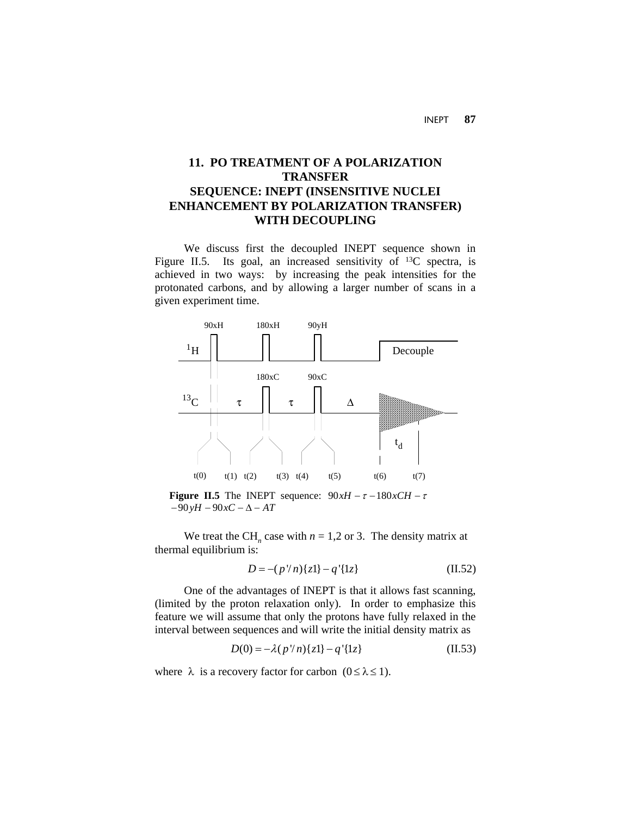INEPT **87**

# **11. PO TREATMENT OF A POLARIZATION TRANSFER SEQUENCE: INEPT (INSENSITIVE NUCLEI ENHANCEMENT BY POLARIZATION TRANSFER) WITH DECOUPLING**

We discuss first the decoupled INEPT sequence shown in Figure II.5. Its goal, an increased sensitivity of <sup>13</sup>C spectra, is achieved in two ways: by increasing the peak intensities for the protonated carbons, and by allowing a larger number of scans in a given experiment time.



**Figure II.5** The INEPT sequence:  $90xH - \tau - 180xCH - \tau$  $-90yH - 90xC - \Delta - AT$ 

We treat the CH<sub>n</sub> case with  $n = 1,2$  or 3. The density matrix at thermal equilibrium is:

$$
D = -(p'/n)\{z\} - q'\{1z\}
$$
 (II.52)

One of the advantages of INEPT is that it allows fast scanning, (limited by the proton relaxation only). In order to emphasize this feature we will assume that only the protons have fully relaxed in the interval between sequences and will write the initial density matrix as

$$
D(0) = -\lambda (p''n){z1} - q'{1z}
$$
 (II.53)

where  $\lambda$  is a recovery factor for carbon  $(0 \le \lambda \le 1)$ .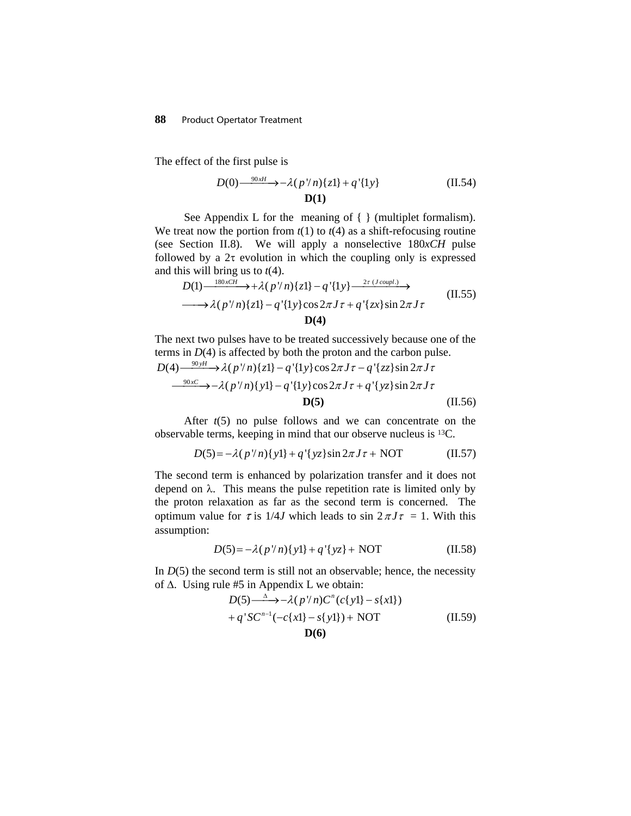The effect of the first pulse is

$$
D(0) \xrightarrow{\phantom{0}90xH} -\lambda (p/n) \{z1\} + q' \{1y\} \tag{II.54}
$$
  

$$
D(1)
$$

See Appendix L for the meaning of  $\{ \}$  (multiplet formalism). We treat now the portion from  $t(1)$  to  $t(4)$  as a shift-refocusing routine (see Section II.8). We will apply a nonselective 180*xCH* pulse followed by a  $2\tau$  evolution in which the coupling only is expressed and this will bring us to *t*(4).

$$
D(1) \xrightarrow{180 \times CH} \rightarrow +\lambda (p \mid n) \{z1\} - q' \{1y\} \xrightarrow{2\tau (J \text{ coupl.})} \rightarrow
$$
  
\n
$$
\longrightarrow \lambda (p \mid n) \{z1\} - q' \{1y\} \cos 2\pi J \tau + q' \{zx\} \sin 2\pi J \tau
$$
  
\n
$$
D(4)
$$
\n(II.55)

The next two pulses have to be treated successively because one of the terms in  $D(4)$  is affected by both the proton and the carbon pulse.  $\frac{90x}{c}$   $\rightarrow$  -  $\lambda(p'/n)\{y1\}$  -  $q'\{1y\}\cos 2\pi J\tau + q'\{yz\}\sin 2\pi J\tau$  $D(4) \frac{90yH}{\pi} \rightarrow \lambda (p \mid n){z1} - q {y1}y \cos 2\pi J\tau - q {zz} \sin 2\pi J\tau$ 

$$
\mathbf{D(5)}\tag{II.56}
$$
 After  $t(5)$  no pulse follows and we can concentrate on the

 After *t*(5) no pulse follows and we can concentrate on the observable terms, keeping in mind that our observe nucleus is 13C.

$$
D(5) = -\lambda (p''n){y1} + q'{yz}\sin 2\pi J\tau + NOT
$$
 (II.57)

The second term is enhanced by polarization transfer and it does not depend on  $\lambda$ . This means the pulse repetition rate is limited only by the proton relaxation as far as the second term is concerned. The optimum value for  $\tau$  is 1/4*J* which leads to sin  $2 \pi J \tau = 1$ . With this assumption:

$$
D(5) = -\lambda (p''n){y1} + q'{yz} + NOT
$$
 (II.58)

In  $D(5)$  the second term is still not an observable; hence, the necessity of ∆. Using rule #5 in Appendix L we obtain:

$$
D(5) \xrightarrow{\Delta} -\lambda (p/n)C^{n}(c\{y\}) - s\{x\})
$$
  
+ q'SC<sup>n-1</sup>(-c\{x\}) - s\{y\}) + NOT (II.59)  
**D(6)**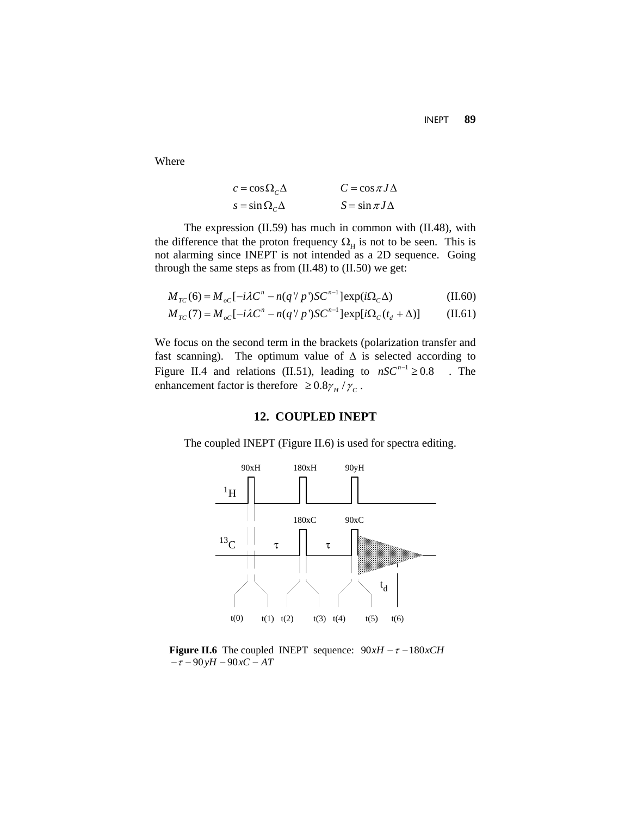Where

$$
c = \cos \Omega_C \Delta
$$
  
\n
$$
S = \sin \Omega_C \Delta
$$
  
\n
$$
C = \cos \pi J \Delta
$$
  
\n
$$
S = \sin \pi J \Delta
$$

The expression (II.59) has much in common with (II.48), with the difference that the proton frequency  $\Omega_H$  is not to be seen. This is not alarming since INEPT is not intended as a 2D sequence. Going through the same steps as from (II.48) to (II.50) we get:

$$
M_{TC}(6) = M_{oc}[-i\lambda C^{n} - n(q \, | \, p')SC^{n-1}] \exp(i\Omega_{C}\Delta)
$$
 (II.60)

$$
M_{TC}(7) = M_{oc}[-i\lambda C^{n} - n(q \, | \, p^{n})SC^{n-1}] \exp[i\Omega_{C}(t_{d} + \Delta)] \tag{II.61}
$$

We focus on the second term in the brackets (polarization transfer and fast scanning). The optimum value of  $\Delta$  is selected according to Figure II.4 and relations (II.51), leading to  $nSC^{n-1} \ge 0.8$  . The enhancement factor is therefore  $\geq 0.8 \gamma_H / \gamma_C$ .

## **12. COUPLED INEPT**

The coupled INEPT (Figure II.6) is used for spectra editing.



**Figure II.6** The coupled INEPT sequence:  $90xH - \tau - 180xCH$  $-\tau - 90yH - 90xC - AT$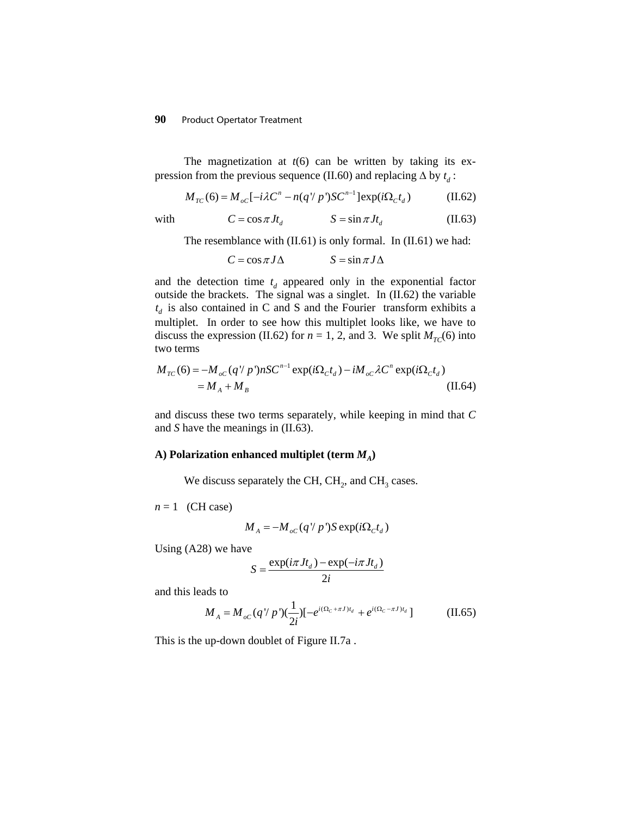## **90** Product Opertator Treatment

The magnetization at  $t(6)$  can be written by taking its expression from the previous sequence (II.60) and replacing  $\Delta$  by  $t_d$ :

$$
M_{TC}(6) = M_{oC}[-i\lambda C^{n} - n(q^{\prime}/p^{\prime})SC^{n-1}] \exp(i\Omega_{C}t_{d})
$$
 (II.62)

with 
$$
C = \cos \pi J t_d
$$
  $S = \sin \pi J t_d$  (II.63)

The resemblance with  $(II.61)$  is only formal. In  $(II.61)$  we had:

$$
C = \cos \pi J \Delta \qquad \qquad S = \sin \pi J \Delta
$$

and the detection time  $t_d$  appeared only in the exponential factor outside the brackets. The signal was a singlet. In (II.62) the variable  $t_d$  is also contained in C and S and the Fourier transform exhibits a multiplet. In order to see how this multiplet looks like, we have to discuss the expression (II.62) for  $n = 1, 2$ , and 3. We split  $M_{TC}(6)$  into two terms

$$
M_{TC}(6) = -M_{oc}(q'/p')nSC^{n-1} \exp(i\Omega_c t_d) - iM_{oc}\lambda C^n \exp(i\Omega_c t_d)
$$
  
=  $M_A + M_B$  (II.64)

and discuss these two terms separately, while keeping in mind that *C* and *S* have the meanings in (II.63).

#### A) Polarization enhanced multiplet (term  $M_A$ )

We discuss separately the CH, CH<sub>2</sub>, and CH<sub>3</sub> cases.

 $n = 1$  (CH case)

$$
M_A = -M_{oC}(q'/p')S \exp(i\Omega_C t_d)
$$

Using (A28) we have

$$
S = \frac{\exp(i\pi J t_d) - \exp(-i\pi J t_d)}{2i}
$$

and this leads to

$$
M_A = M_{oC}(q'/p')(\frac{1}{2i})[-e^{i(\Omega_C + \pi J)t_d} + e^{i(\Omega_C - \pi J)t_d}]
$$
 (II.65)

This is the up-down doublet of Figure II.7a .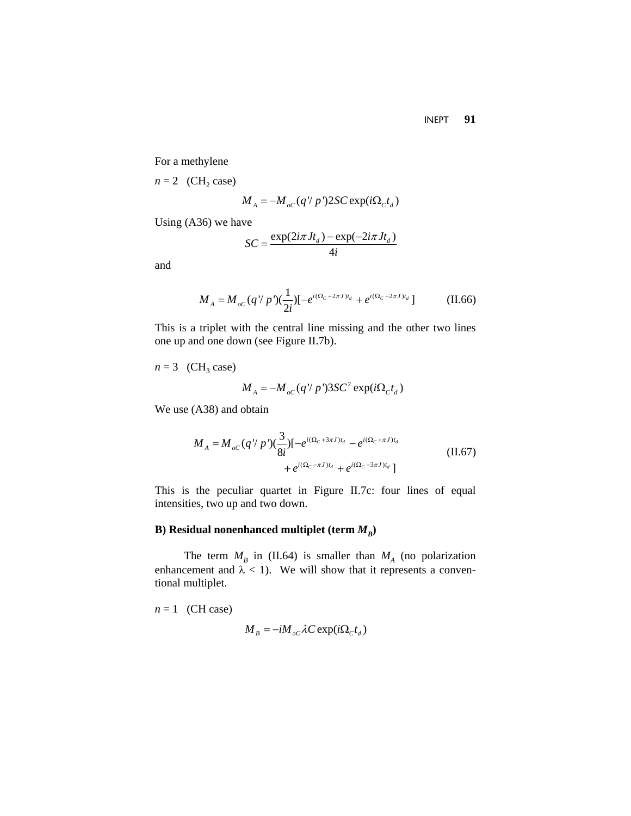INEPT **91**

For a methylene

 $n = 2$  (CH<sub>2</sub> case)

$$
M_A = -M_{oC}(q'/p')2SC \exp(i\Omega_c t_d)
$$

Using (A36) we have

$$
SC = \frac{\exp(2i\pi Jt_d) - \exp(-2i\pi Jt_d)}{4i}
$$

and

$$
M_A = M_{oC}(q'/p')(\frac{1}{2i})[-e^{i(\Omega_C + 2\pi J)t_d} + e^{i(\Omega_C - 2\pi J)t_d}]
$$
 (II.66)

This is a triplet with the central line missing and the other two lines one up and one down (see Figure II.7b).

 $n = 3$  (CH<sub>3</sub> case)

$$
M_A = -M_{oC}(q'/p')3SC^2 \exp(i\Omega_C t_d)
$$

We use (A38) and obtain

$$
M_A = M_{oc} (q'/p') (\frac{3}{8i}) [-e^{i(\Omega_C + 3\pi J)t_d} - e^{i(\Omega_C + \pi J)t_d} + e^{i(\Omega_C - \pi J)t_d} + e^{i(\Omega_C - 3\pi J)t_d}]
$$
(II.67)

This is the peculiar quartet in Figure II.7c: four lines of equal intensities, two up and two down.

## **B**) Residual nonenhanced multiplet (term  $M_B$ )

The term  $M_B$  in (II.64) is smaller than  $M_A$  (no polarization enhancement and  $\lambda$  < 1). We will show that it represents a conventional multiplet.

 $n = 1$  (CH case)  $M_B = -iM_{\alpha C} \lambda C \exp(i\Omega_C t_d)$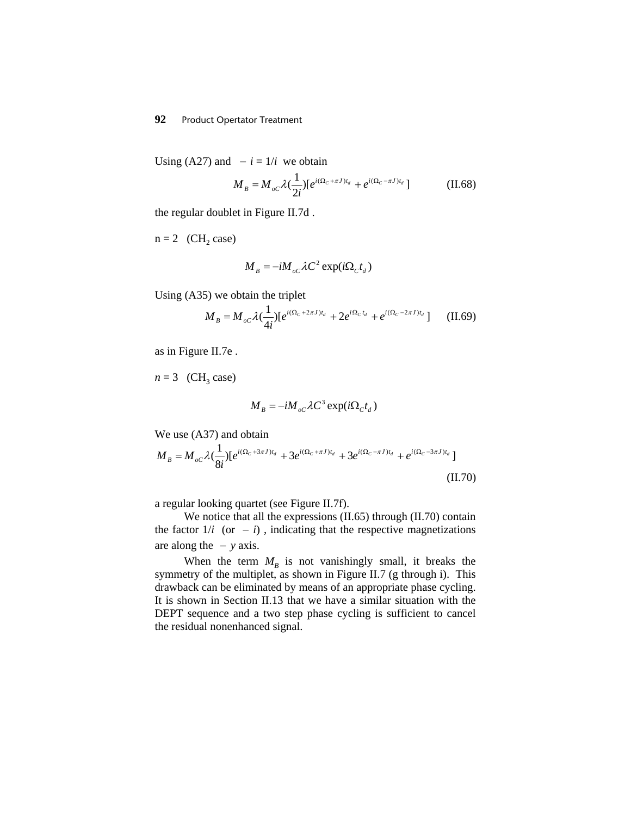## **92** Product Opertator Treatment

Using (A27) and  $-i = 1/i$  we obtain

$$
M_B = M_{oc} \lambda \left(\frac{1}{2i}\right) \left[e^{i(\Omega_c + \pi J)t_d} + e^{i(\Omega_c - \pi J)t_d}\right] \tag{II.68}
$$

the regular doublet in Figure II.7d .

 $n = 2$  (CH<sub>2</sub> case)

$$
M_{B} = -iM_{oc}\lambda C^{2} \exp(i\Omega_{C}t_{d})
$$

Using (A35) we obtain the triplet

$$
M_B = M_{oc} \lambda (\frac{1}{4i}) [e^{i(\Omega_C + 2\pi J)t_d} + 2e^{i\Omega_C t_d} + e^{i(\Omega_C - 2\pi J)t_d}] \tag{II.69}
$$

as in Figure II.7e .

 $n = 3$  (CH<sub>3</sub> case)

$$
M_{B} = -iM_{oC} \lambda C^{3} \exp(i\Omega_{C}t_{d})
$$

We use (A37) and obtain

$$
M_{B} = M_{oc} \lambda \left(\frac{1}{8i}\right) \left[e^{i(\Omega_{C} + 3\pi J)t_{d}} + 3e^{i(\Omega_{C} + \pi J)t_{d}} + 3e^{i(\Omega_{C} - \pi J)t_{d}} + e^{i(\Omega_{C} - 3\pi J)t_{d}}\right]
$$
\n(II.70)

a regular looking quartet (see Figure II.7f).

We notice that all the expressions (II.65) through (II.70) contain the factor  $1/i$  (or  $-i$ ), indicating that the respective magnetizations are along the  $-y$  axis.

When the term  $M_B$  is not vanishingly small, it breaks the symmetry of the multiplet, as shown in Figure II.7 (g through i). This drawback can be eliminated by means of an appropriate phase cycling. It is shown in Section II.13 that we have a similar situation with the DEPT sequence and a two step phase cycling is sufficient to cancel the residual nonenhanced signal.